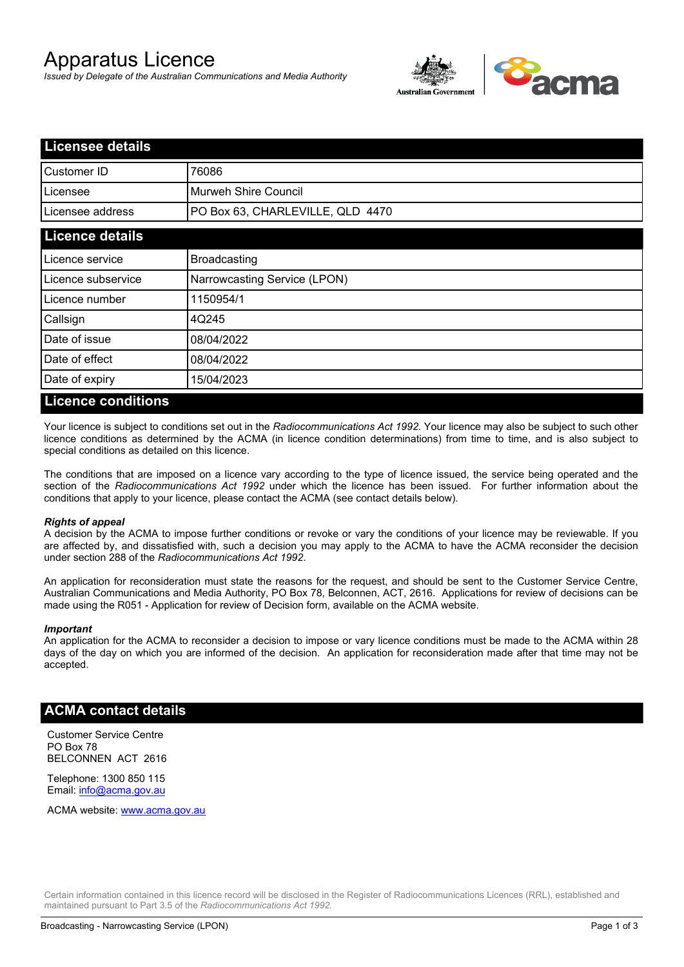# Apparatus Licence

*Issued by Delegate of the Australian Communications and Media Authority*



| <b>Licensee details</b>      |                                  |  |  |  |  |
|------------------------------|----------------------------------|--|--|--|--|
| <b>Customer ID</b>           | 76086                            |  |  |  |  |
| Licensee                     | Murweh Shire Council             |  |  |  |  |
| Licensee address             | PO Box 63, CHARLEVILLE, QLD 4470 |  |  |  |  |
| <b>Licence details</b>       |                                  |  |  |  |  |
| Licence service              | <b>Broadcasting</b>              |  |  |  |  |
| Licence subservice           | Narrowcasting Service (LPON)     |  |  |  |  |
| Licence number               | 1150954/1                        |  |  |  |  |
| Callsign                     | 4Q245                            |  |  |  |  |
| Date of issue                | 08/04/2022                       |  |  |  |  |
| Date of effect               | 08/04/2022                       |  |  |  |  |
| Date of expiry               | 15/04/2023                       |  |  |  |  |
| <b>The Common State</b><br>. |                                  |  |  |  |  |

#### **Licence conditions**

Your licence is subject to conditions set out in the *Radiocommunications Act 1992*. Your licence may also be subject to such other licence conditions as determined by the ACMA (in licence condition determinations) from time to time, and is also subject to special conditions as detailed on this licence.

The conditions that are imposed on a licence vary according to the type of licence issued, the service being operated and the section of the *Radiocommunications Act 1992* under which the licence has been issued. For further information about the conditions that apply to your licence, please contact the ACMA (see contact details below).

#### *Rights of appeal*

A decision by the ACMA to impose further conditions or revoke or vary the conditions of your licence may be reviewable. If you are affected by, and dissatisfied with, such a decision you may apply to the ACMA to have the ACMA reconsider the decision under section 288 of the *Radiocommunications Act 1992*.

An application for reconsideration must state the reasons for the request, and should be sent to the Customer Service Centre, Australian Communications and Media Authority, PO Box 78, Belconnen, ACT, 2616. Applications for review of decisions can be made using the R051 - Application for review of Decision form, available on the ACMA website.

#### *Important*

An application for the ACMA to reconsider a decision to impose or vary licence conditions must be made to the ACMA within 28 days of the day on which you are informed of the decision. An application for reconsideration made after that time may not be accepted.

#### **ACMA contact details**

Customer Service Centre PO Box 78 BELCONNEN ACT 2616

Telephone: 1300 850 115 Email: info@acma.gov.au

ACMA website: www.acma.gov.au

Certain information contained in this licence record will be disclosed in the Register of Radiocommunications Licences (RRL), established and maintained pursuant to Part 3.5 of the *Radiocommunications Act 1992.*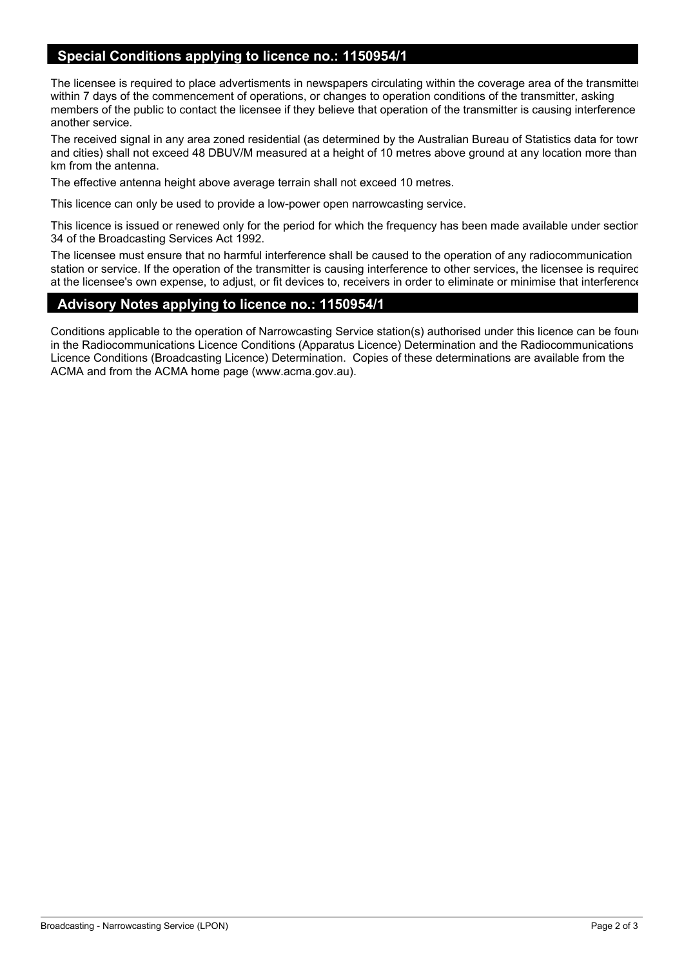## **Special Conditions applying to licence no.: 1150954/1**

The licensee is required to place advertisments in newspapers circulating within the coverage area of the transmitter within 7 days of the commencement of operations, or changes to operation conditions of the transmitter, asking members of the public to contact the licensee if they believe that operation of the transmitter is causing interference another service.

The received signal in any area zoned residential (as determined by the Australian Bureau of Statistics data for towns and cities) shall not exceed 48 DBUV/M measured at a height of 10 metres above ground at any location more than 2 km from the antenna.

The effective antenna height above average terrain shall not exceed 10 metres.

This licence can only be used to provide a low-power open narrowcasting service.

This licence is issued or renewed only for the period for which the frequency has been made available under section 34 of the Broadcasting Services Act 1992.

The licensee must ensure that no harmful interference shall be caused to the operation of any radiocommunication station or service. If the operation of the transmitter is causing interference to other services, the licensee is required, at the licensee's own expense, to adjust, or fit devices to, receivers in order to eliminate or minimise that interference

### **Advisory Notes applying to licence no.: 1150954/1**

Conditions applicable to the operation of Narrowcasting Service station(s) authorised under this licence can be found in the Radiocommunications Licence Conditions (Apparatus Licence) Determination and the Radiocommunications Licence Conditions (Broadcasting Licence) Determination. Copies of these determinations are available from the ACMA and from the ACMA home page (www.acma.gov.au).